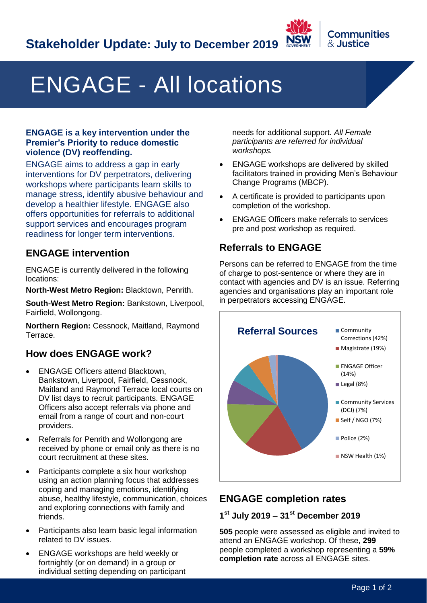

# ENGAGE - All locations

#### **ENGAGE is a key intervention under the Premier's Priority to reduce domestic violence (DV) reoffending.**

ENGAGE aims to address a gap in early interventions for DV perpetrators, delivering workshops where participants learn skills to manage stress, identify abusive behaviour and develop a healthier lifestyle. ENGAGE also offers opportunities for referrals to additional support services and encourages program readiness for longer term interventions.

## **ENGAGE intervention**

ENGAGE is currently delivered in the following locations:

**North-West Metro Region:** Blacktown, Penrith.

**South-West Metro Region:** Bankstown, Liverpool, Fairfield, Wollongong.

**Northern Region:** Cessnock, Maitland, Raymond Terrace.

## **How does ENGAGE work?**

- ENGAGE Officers attend Blacktown, Bankstown, Liverpool, Fairfield, Cessnock, Maitland and Raymond Terrace local courts on DV list days to recruit participants. ENGAGE Officers also accept referrals via phone and email from a range of court and non-court providers.
- Referrals for Penrith and Wollongong are received by phone or email only as there is no court recruitment at these sites.
- Participants complete a six hour workshop using an action planning focus that addresses coping and managing emotions, identifying abuse, healthy lifestyle, communication, choices and exploring connections with family and friends.
- Participants also learn basic legal information related to DV issues.
- ENGAGE workshops are held weekly or fortnightly (or on demand) in a group or individual setting depending on participant

needs for additional support. *All Female participants are referred for individual workshops.*

- ENGAGE workshops are delivered by skilled facilitators trained in providing Men's Behaviour Change Programs (MBCP).
- A certificate is provided to participants upon completion of the workshop.
- ENGAGE Officers make referrals to services pre and post workshop as required.

# **Referrals to ENGAGE**

Persons can be referred to ENGAGE from the time of charge to post-sentence or where they are in contact with agencies and DV is an issue. Referring agencies and organisations play an important role in perpetrators accessing ENGAGE.



# **ENGAGE completion rates**

#### **1 st July 2019 – 31st December 2019**

**505** people were assessed as eligible and invited to attend an ENGAGE workshop. Of these, **299** people completed a workshop representing a **59% completion rate** across all ENGAGE sites.